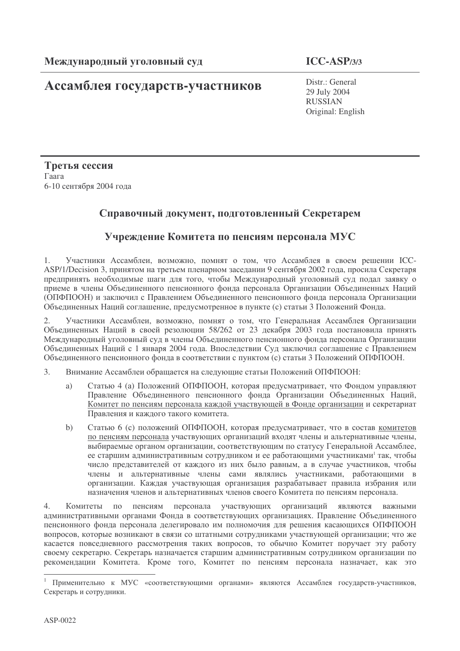# Ассамблея государств-участников

Distr.: General 29 July 2004 **RUSSIAN** Original: English

Третья сессия Гаага 6-10 сентября 2004 года

### Справочный документ, подготовленный Секретарем

## Учреждение Комитета по пенсиям персонала МУС

Участники Ассамблеи, возможно, помнят о том, что Ассамблея в своем решении ICC- $1.$ ASP/1/Decision 3, принятом на третьем пленарном заседании 9 сентября 2002 года, просила Секретаря предпринять необходимые шаги для того, чтобы Международный уголовный суд подал заявку о приеме в члены Объединенного пенсионного фонда персонала Организации Объединенных Наций (ОПФПООН) и заключил с Правлением Объединенного пенсионного фонда персонала Организации Объединенных Наций соглашение, предусмотренное в пункте (с) статьи 3 Положений Фонда.

Участники Ассамблеи, возможно, помнят о том, что Генеральная Ассамблея Организации  $\overline{2}$ . Объединенных Наций в своей резолюции 58/262 от 23 декабря 2003 года постановила принять Международный уголовный суд в члены Объединенного пенсионного фонда персонала Организации Объединенных Наций с 1 января 2004 года. Впоследствии Суд заключил соглашение с Правлением Объединенного пенсионного фонда в соответствии с пунктом (с) статьи 3 Положений ОПФПООН.

 $\overline{3}$ . Внимание Ассамблеи обращается на следующие статьи Положений ОПФПООН:

- Статью 4 (а) Положений ОПФПООН, которая предусматривает, что Фондом управляют a) Правление Объединенного пенсионного фонда Организации Объединенных Наций, Комитет по пенсиям персонала каждой участвующей в Фонде организации и секретариат Правления и каждого такого комитета.
- Статью 6 (с) положений ОПФПООН, которая предусматривает, что в состав комитетов  $b)$ по пенсиям персонала участвующих организаций входят члены и альтернативные члены, выбираемые органом организации, соответствующим по статусу Генеральной Ассамблее, ее старшим административным сотрудником и ее работающими участниками<sup>1</sup> так, чтобы число представителей от каждого из них было равным, а в случае участников, чтобы члены и альтернативные члены сами являлись участниками, работающими в организации. Каждая участвующая организация разрабатывает правила избрания или назначения членов и альтернативных членов своего Комитета по пенсиям персонала.

 $\overline{4}$ Комитеты по пенсиям персонала участвующих организаций являются важными административными органами Фонда в соответствующих организациях. Правление Объединенного пенсионного фонда персонала делегировало им полномочия для решения касающихся ОПФПООН вопросов, которые возникают в связи со штатными сотрудниками участвующей организации; что же касается повседневного рассмотрения таких вопросов, то обычно Комитет поручает эту работу своему секретарю. Секретарь назначается старшим административным сотрудником организации по рекомендации Комитета. Кроме того, Комитет по пенсиям персонала назначает, как это

Применительно к МУС «соответствующими органами» являются Ассамблея государств-участников, Секретарь и сотрудники.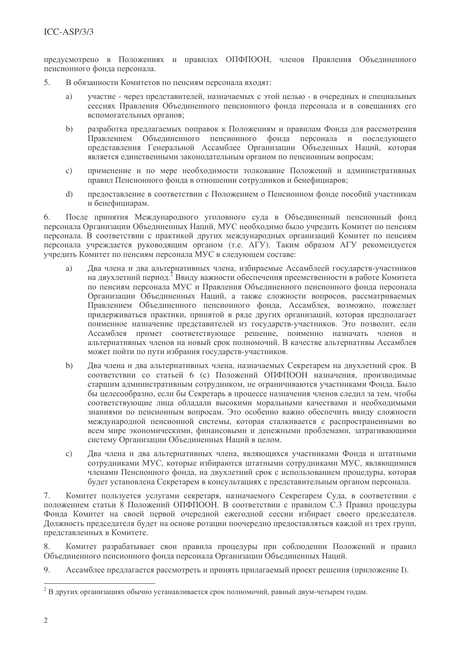предусмотрено в Положениях и правилах ОПФПООН, членов Правления Объединенного пенсионного фонда персонала.

- $\overline{\mathbf{S}}$ В обязанности Комитетов по пенсиям персонала входят:
	- участие через представителей, назначаемых с этой целью в очередных и специальных  $a)$ сессиях Правления Объединенного пенсионного фонда персонала и в совещаниях его вспомогательных органов:
	- $h)$ разработка предлагаемых поправок к Положениям и правилам Фонда для рассмотрения Правлением Объединенного пенсионного фонда персонала и последующего представления Генеральной Ассамблее Организации Объеденных Наций, которая является единственными законодательным органом по пенсионным вопросам;
	- применение и по мере необходимости толкование Положений и административных  $\mathcal{C}$ ) правил Пенсионного фонда в отношении сотрудников и бенефициаров:
	- прелоставление в соответствии с Положением о Пенсионном фонле пособий участникам  $\overline{d}$ и бенефициарам.

После принятия Международного уголовного суда в Объединенный пенсионный фонд 6. персонала Организации Объединенных Наций. МУС необходимо было учредить Комитет по пенсиям персонала. В соответствии с практикой других международных организаций Комитет по пенсиям персонала учрежлается руковолящим органом (т.е. АГУ). Таким образом АГУ рекомендуется учредить Комитет по пенсиям персонала МУС в следующем составе:

- Два члена и два альтернативных члена, избираемые Ассамблеей государств-участников a) на двухлетний период. Ввиду важности обеспечения преемственности в работе Комитета по пенсиям персонала МУС и Правления Объединенного пенсионного фонда персонала Организации Объединенных Наций, а также сложности вопросов, рассматриваемых Правлением Объединенного пенсионного фонда, Ассамблея, возможно, пожелает придерживаться практики, принятой в ряде других организаций, которая предполагает поименное назначение представителей из государств-участников. Это позволит, если Ассамблея примет соответствующее решение, поименно назначать членов и альтернативных членов на новый срок полномочий. В качестве альтернативы Ассамблея может пойти по пути избрания государств-участников.
- Два члена и два альтернативных члена, назначаемых Секретарем на двухлетний срок. В  $b)$ соответствии со статьей 6 (с) Положений ОПФПООН назначения, производимые старшим административным сотрудником, не ограничиваются участниками Фонда. Было бы целесообразно, если бы Секретарь в процессе назначения членов следил за тем, чтобы соответствующие лица обладали высокими моральными качествами и необходимыми знаниями по пенсионным вопросам. Это особенно важно обеспечить ввиду сложности международной пенсионной системы, которая сталкивается с распространенными во всем мире экономическими, финансовыми и денежными проблемами, затрагивающими систему Организации Объединенных Наций в целом.
- Два члена и два альтернативных члена, являющихся участниками Фонда и штатными  $c)$ сотрудниками МУС, которые избираются штатными сотрудниками МУС, являющимися членами Пенсионного фонда, на двухлетний срок с использованием процедуры, которая будет установлена Секретарем в консультациях с представительным органом персонала.

7. Комитет пользуется услугами секретаря, назначаемого Секретарем Суда, в соответствии с положением статьи 8 Положений ОПФПООН. В соответствии с правилом С.3 Правил процедуры Фонда Комитет на своей первой очередной ежегодной сессии избирает своего председателя. Должность председателя будет на основе ротации поочередно предоставляться каждой из трех групп, представленных в Комитете.

Комитет разрабатывает свои правила процедуры при соблюдении Положений и правил 8. Объединенного пенсионного фонда персонала Организации Объединенных Наций.

9. Ассамблее предлагается рассмотреть и принять прилагаемый проект решения (приложение I).

 $2$  В других организациях обычно устанавливается срок полномочий, равный двум-четырем годам.